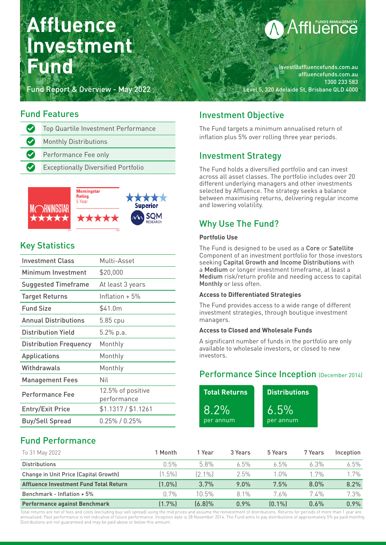# **Affluence Investment Fund**

Fund Report & Overview - May 2022

# **fflünds MANAGEMENT**

invest@affluencefunds.com.au affluencefunds.com.au 1300 233 583 Level 5, 320 Adelaide St, Brisbane QLD 4000

# Fund Features

| $\bullet$ | Top Quartile Investment Performance        |
|-----------|--------------------------------------------|
| $\bullet$ | <b>Monthly Distributions</b>               |
| $\bullet$ | Performance Fee only                       |
| $\bullet$ | <b>Exceptionally Diversified Portfolio</b> |



# Key Statistics

| <b>Investment Class</b>       | Multi-Asset                      |  |  |  |  |  |
|-------------------------------|----------------------------------|--|--|--|--|--|
| Minimum Investment            | \$20,000                         |  |  |  |  |  |
| Suggested Timeframe           | At least 3 years                 |  |  |  |  |  |
| <b>Target Returns</b>         | Inflation $+5\%$                 |  |  |  |  |  |
| <b>Fund Size</b>              | \$41.0m                          |  |  |  |  |  |
| <b>Annual Distributions</b>   | $5.85$ cpu                       |  |  |  |  |  |
| <b>Distribution Yield</b>     | 5.2% p.a.                        |  |  |  |  |  |
| <b>Distribution Frequency</b> | Monthly                          |  |  |  |  |  |
| Applications                  | Monthly                          |  |  |  |  |  |
| Withdrawals                   | Monthly                          |  |  |  |  |  |
| <b>Management Fees</b>        | Nil                              |  |  |  |  |  |
| Performance Fee               | 12.5% of positive<br>performance |  |  |  |  |  |
| <b>Entry/Exit Price</b>       | \$1.1317 / \$1.1261              |  |  |  |  |  |
| <b>Buy/Sell Spread</b>        | $0.25\%$ / $0.25\%$              |  |  |  |  |  |

# Investment Objective

The Fund targets a minimum annualised return of inflation plus 5% over rolling three year periods.

# Investment Strategy

The Fund holds a diversified portfolio and can invest across all asset classes. The portfolio includes over 20 different underlying managers and other investments selected by Affluence. The strategy seeks a balance between maximising returns, delivering regular income and lowering volatility.

# Why Use The Fund?

#### **Portfolio Use**

The Fund is designed to be used as a Core or Satellite Component of an investment portfolio for those investors seeking Capital Growth and Income Distributions with a Medium or longer investment timeframe, at least a Medium risk/return profile and needing access to capital Monthly or less often.

#### **Access to Differentiated Strategies**

The Fund provides access to a wide range of different investment strategies, through boutique investment managers.

#### **Access to Closed and Wholesale Funds**

A significant number of funds in the portfolio are only available to wholesale investors, or closed to new investors.

# Performance Since Inception (December 2014)

| <b>Total Returns</b> | <b>Distributions</b> |
|----------------------|----------------------|
| $8.2\%$              | $6.5\%$              |
| per annum            | per annum            |

# Fund Performance

| To 31 May 2022                         | 1 Month   | 1 Year   | 3 Years | 5 Years | 7 Years | Inception |
|----------------------------------------|-----------|----------|---------|---------|---------|-----------|
| <b>Distributions</b>                   | 0.5%      | 5.8%     | $6.5\%$ | $6.5\%$ | $6.3\%$ | $6.5\%$   |
| Change in Unit Price (Capital Growth)  | $(1.5\%)$ | [2.1%]   | 2.5%    | $1.0\%$ | 1 7%    | $1.7\%$   |
| Affluence Investment Fund Total Return | (1.0%)    | 3.7%     | $9.0\%$ | 7.5%    | 8.0%    | 8.2%      |
| Benchmark - Inflation + 5%             | በ 7%      | $10.5\%$ | 81%     | 7.6%    | 7.4%    | 7.3%      |
| <b>Performance against Benchmark</b>   | $(1.7\%)$ | (6.8)%   | 0.9%    | [0.1%]  | $0.6\%$ | $0.9\%$   |

Total returns are net of fees and costs (excluding buy-sell spread) using the mid prices and assume the reinvestment of distributions. Returns for periods of more than 1 year are annualised. Past performance is not indicative of future performance. Inception date is 28 November 2014. The Fund aims to pay distributions of approximately 5% pa paid monthly. Distributions are not guaranteed and may be paid above or below this amount.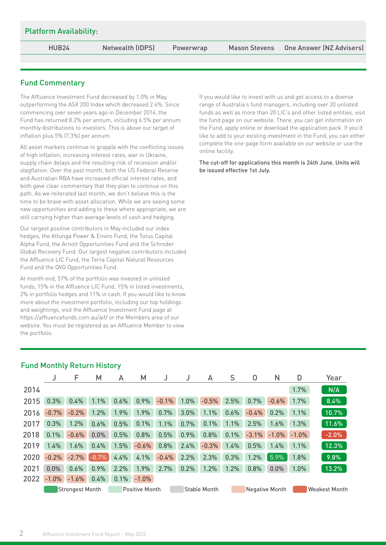| The Affluence Investment Fund decreased by 1.0% in May,<br>outperforming the ASX 200 Index which decreased 2.6%. Since<br>commencing over seven years ago in December 2014, the<br>Fund has returned 8.2% per annum, including 6.5% per annum<br>monthly distributions to investors. This is above our target of<br>inflation plus 5% (7.3%) per annum.                                                                                                                                                                                                                                                                                                                              | If you would like to invest with us and get access to a diverse<br>range of Australia's fund managers, including over 20 unlisted<br>funds as well as more than 20 LIC's and other listed entities, visit<br>the fund page on our website. There, you can get information on<br>the Fund, apply online or download the application pack. If you'd<br>like to add to your existing investment in the Fund, you can either |  |  |  |  |  |  |
|--------------------------------------------------------------------------------------------------------------------------------------------------------------------------------------------------------------------------------------------------------------------------------------------------------------------------------------------------------------------------------------------------------------------------------------------------------------------------------------------------------------------------------------------------------------------------------------------------------------------------------------------------------------------------------------|--------------------------------------------------------------------------------------------------------------------------------------------------------------------------------------------------------------------------------------------------------------------------------------------------------------------------------------------------------------------------------------------------------------------------|--|--|--|--|--|--|
| All asset markets continue to grapple with the conflicting issues<br>of high inflation, increasing interest rates, war in Ukraine,<br>supply chain delays and the resulting risk of recession and/or<br>stagflation. Over the past month, both the US Federal Reserve<br>and Australian RBA have increased official interest rates, and<br>both gave clear commentary that they plan to continue on this<br>path. As we reiterated last month, we don't believe this is the<br>time to be brave with asset allocation. While we are seeing some<br>new opportunities and adding to these where appropriate, we are<br>still carrying higher than average levels of cash and hedging. | complete the one-page form available on our website or use the<br>online facility.<br>The cut-off for applications this month is 24th June. Units will<br>be issued effective 1st July.                                                                                                                                                                                                                                  |  |  |  |  |  |  |
| Our largest positive contributors in May included our index<br>hedges, the Attunga Power & Enviro Fund, the Totus Capital<br>Alpha Fund, the Arnott Opportunities Fund and the Schroder<br>Global Recovery Fund. Our largest negative contributors included<br>the Affluence LIC Fund, the Terra Capital Natural Resources<br>Fund and the QVG Opportunities Fund.                                                                                                                                                                                                                                                                                                                   |                                                                                                                                                                                                                                                                                                                                                                                                                          |  |  |  |  |  |  |
| At month end, 57% of the portfolio was invested in unlisted<br>funds, 15% in the Affluence LIC Fund, 15% in listed investments,<br>2% in portfolio hedges and 11% in cash. If you would like to know<br>more about the investment portfolio, including our top holdings<br>and weightings, visit the Affluence Investment Fund page at<br>https://affluencefunds.com.au/aif/ or the Members area of our<br>website. You must be registered as an Affluence Member to view<br>the portfolio.                                                                                                                                                                                          |                                                                                                                                                                                                                                                                                                                                                                                                                          |  |  |  |  |  |  |

|      |                                          | F       | М       | A    | м       |         |              | A       | S    | 0                     | Ν       | D                    | Year    |
|------|------------------------------------------|---------|---------|------|---------|---------|--------------|---------|------|-----------------------|---------|----------------------|---------|
| 2014 |                                          |         |         |      |         |         |              |         |      |                       |         | 1.7%                 | N/A     |
| 2015 | 0.3%                                     | 0.4%    | 1.1%    | 0.6% | 0.9%    | $-0.1%$ | 1.0%         | $-0.5%$ | 2.5% | 0.7%                  | $-0.6%$ | 1.7%                 | 8.4%    |
| 2016 | $-0.7%$                                  | $-0.2%$ | 1.2%    | 1.9% | 1.9%    | 0.7%    | 3.0%         | 1.1%    | 0.6% | $-0.4%$               | 0.2%    | 1.1%                 | 10.7%   |
| 2017 | 0.3%                                     | 1.2%    | 0.6%    | 0.5% | 0.1%    | 1.1%    | 0.7%         | 0.1%    | 1.1% | 2.5%                  | 1.6%    | 1.3%                 | 11.6%   |
| 2018 | 0.1%                                     | $-0.6%$ | 0.0%    | 0.5% | 0.8%    | 0.5%    | 0.9%         | 0.8%    | 0.1% | $-3.1%$               | $-1.0%$ | $-1.0%$              | $-2.0%$ |
| 2019 | 1.4%                                     | 1.6%    | 0.4%    | 1.5% | $-0.6%$ | 0.8%    | 2.4%         | $-0.3%$ | 1.4% | 0.5%                  | 1.4%    | 1.1%                 | 12.3%   |
| 2020 | $-0.2%$                                  | $-2.7%$ | $-8.7%$ | 4.4% | 4.1%    | $-0.4%$ | 2.2%         | 2.3%    | 0.3% | 1.2%                  | 5.9%    | 1.8%                 | 9.8%    |
| 2021 | 0.0%                                     | 0.6%    | 0.9%    | 2.2% | 1.9%    | 2.7%    | 0.2%         | 1.2%    | 1.2% | 0.8%                  | 0.0%    | 1.0%                 | 13.2%   |
| 2022 | $-1.0%$                                  | $-1.6%$ | 0.4%    | 0.1% | $-1.0%$ |         |              |         |      |                       |         |                      |         |
|      | Positive Month<br><b>Strongest Month</b> |         |         |      |         |         | Stable Month |         |      | <b>Negative Month</b> |         | <b>Weakest Month</b> |         |

# Platform Availability: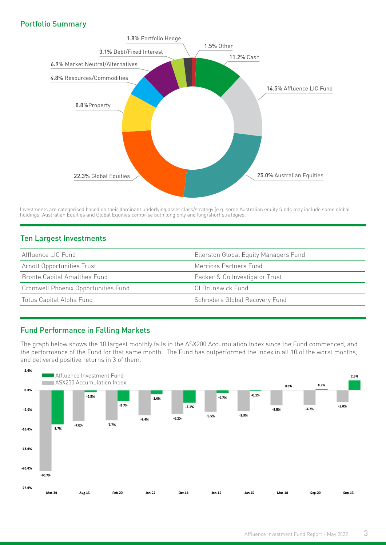#### Portfolio Summary



Investments are categorised based on their dominant underlying asset class/strategy (e.g. some Australian equity funds may include some global holdings. Australian Equities and Global Equities comprise both long only and long/short strategies.

#### Ten Largest Investments

| Affluence LIC Fund                  | Ellerston Global Equity Managers Fund |  |  |  |  |  |
|-------------------------------------|---------------------------------------|--|--|--|--|--|
| Arnott Opportunities Trust          | Merricks Partners Fund                |  |  |  |  |  |
| Bronte Capital Amalthea Fund        | Packer & Co Investigator Trust        |  |  |  |  |  |
| Cromwell Phoenix Opportunities Fund | CI Brunswick Fund                     |  |  |  |  |  |
| Totus Capital Alpha Fund            | Schroders Global Recovery Fund        |  |  |  |  |  |

#### Fund Performance in Falling Markets

The graph below shows the 10 largest monthly falls in the ASX200 Accumulation Index since the Fund commenced, and the performance of the Fund for that same month. The Fund has outperformed the Index in all 10 of the worst months, and delivered positive returns in 3 of them.